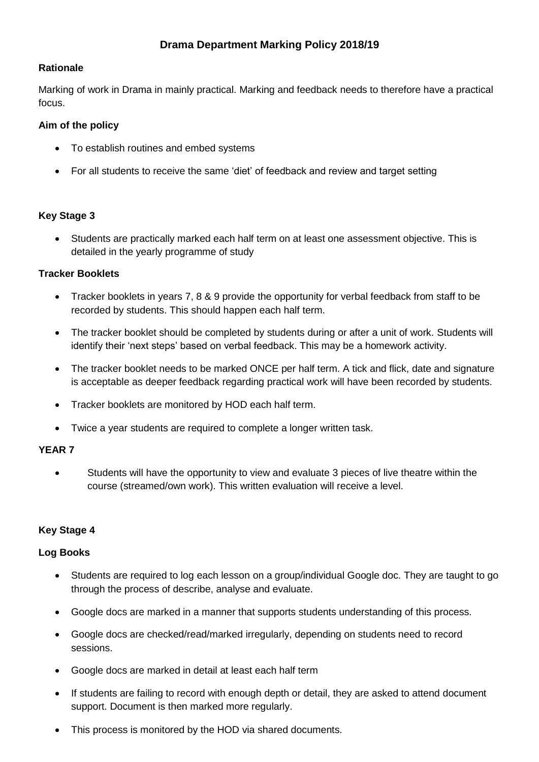## **Rationale**

Marking of work in Drama in mainly practical. Marking and feedback needs to therefore have a practical focus.

## **Aim of the policy**

- To establish routines and embed systems
- For all students to receive the same 'diet' of feedback and review and target setting

### **Key Stage 3**

 Students are practically marked each half term on at least one assessment objective. This is detailed in the yearly programme of study

### **Tracker Booklets**

- Tracker booklets in years 7, 8 & 9 provide the opportunity for verbal feedback from staff to be recorded by students. This should happen each half term.
- The tracker booklet should be completed by students during or after a unit of work. Students will identify their 'next steps' based on verbal feedback. This may be a homework activity.
- The tracker booklet needs to be marked ONCE per half term. A tick and flick, date and signature is acceptable as deeper feedback regarding practical work will have been recorded by students.
- Tracker booklets are monitored by HOD each half term.
- Twice a year students are required to complete a longer written task.

### **YEAR 7**

 Students will have the opportunity to view and evaluate 3 pieces of live theatre within the course (streamed/own work). This written evaluation will receive a level.

# **Key Stage 4**

### **Log Books**

- Students are required to log each lesson on a group/individual Google doc. They are taught to go through the process of describe, analyse and evaluate.
- Google docs are marked in a manner that supports students understanding of this process.
- Google docs are checked/read/marked irregularly, depending on students need to record sessions.
- Google docs are marked in detail at least each half term
- If students are failing to record with enough depth or detail, they are asked to attend document support. Document is then marked more regularly.
- This process is monitored by the HOD via shared documents.